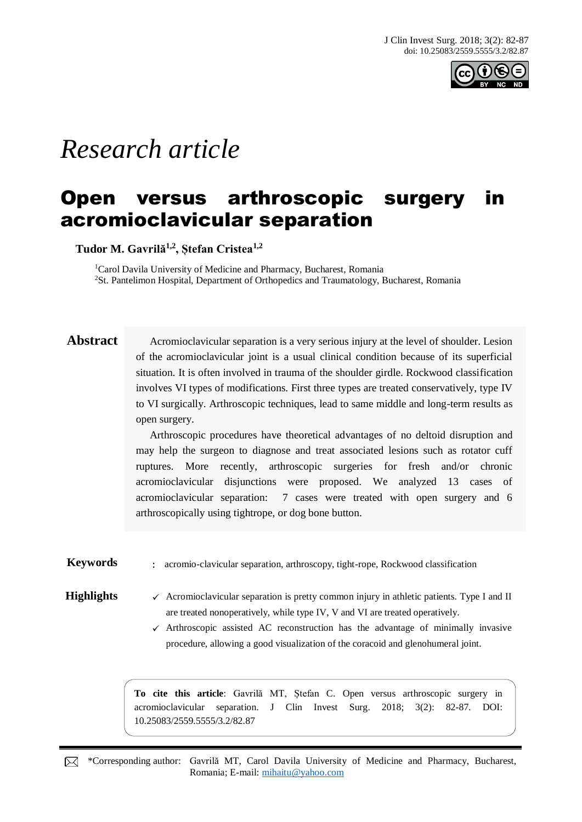

# *Research article*

## Open versus arthroscopic surgery acromioclavicular separation

**Tudor M. Gavrilă1,2, Ștefan Cristea1,2**

<sup>1</sup>Carol Davila University of Medicine and Pharmacy, Bucharest, Romania <sup>2</sup>St. Pantelimon Hospital, Department of Orthopedics and Traumatology, Bucharest, Romania

**Abstract** Acromioclavicular separation is a very serious injury at the level of shoulder. Lesion of the acromioclavicular joint is a usual clinical condition because of its superficial situation. It is often involved in trauma of the shoulder girdle. Rockwood classification involves VI types of modifications. First three types are treated conservatively, type IV to VI surgically. Arthroscopic techniques, lead to same middle and long-term results as open surgery.

> Arthroscopic procedures have theoretical advantages of no deltoid disruption and may help the surgeon to diagnose and treat associated lesions such as rotator cuff ruptures. More recently, arthroscopic surgeries for fresh and/or chronic acromioclavicular disjunctions were proposed. We analyzed 13 cases of acromioclavicular separation: 7 cases were treated with open surgery and 6 arthroscopically using tightrope, or dog bone button.

**Keywords** : acromio-clavicular separation, arthroscopy, tight-rope, Rockwood classification

#### **Highlights**  $\checkmark$  Acromioclavicular separation is pretty common injury in athletic patients. Type I and II are treated nonoperatively, while type IV, V and VI are treated operatively.

 $\checkmark$  Arthroscopic assisted AC reconstruction has the advantage of minimally invasive procedure, allowing a good visualization of the coracoid and glenohumeral joint.

**To cite this article**: Gavrilă MT, Ștefan C. Open versus arthroscopic surgery in acromioclavicular separation. J Clin Invest Surg. 2018; 3(2): 82-87. DOI: 10.25083/2559.5555/3.2/82.87

\*Corresponding author: Gavrilă MT, Carol Davila University of Medicine and Pharmacy, Bucharest, Romania; E-mail: [mihaitu@yahoo.com](mailto:mihaitu@yahoo.com)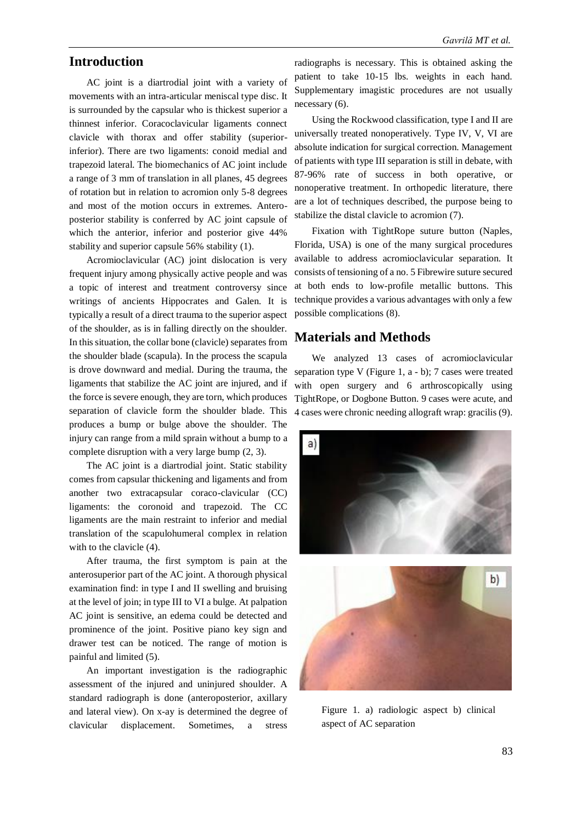### **Introduction**

AC joint is a diartrodial joint with a variety of movements with an intra-articular meniscal type disc. It is surrounded by the capsular who is thickest superior a thinnest inferior. Coracoclavicular ligaments connect clavicle with thorax and offer stability (superiorinferior). There are two ligaments: conoid medial and trapezoid lateral. The biomechanics of AC joint include a range of 3 mm of translation in all planes, 45 degrees of rotation but in relation to acromion only 5-8 degrees and most of the motion occurs in extremes. Anteroposterior stability is conferred by AC joint capsule of which the anterior, inferior and posterior give 44% stability and superior capsule 56% stability (1).

Acromioclavicular (AC) joint dislocation is very frequent injury among physically active people and was a topic of interest and treatment controversy since writings of ancients Hippocrates and Galen. It is typically a result of a direct trauma to the superior aspect of the shoulder, as is in falling directly on the shoulder. In this situation, the collar bone (clavicle) separates from the shoulder blade (scapula). In the process the scapula is drove downward and medial. During the trauma, the ligaments that stabilize the AC joint are injured, and if the force is severe enough, they are torn, which produces separation of clavicle form the shoulder blade. This produces a bump or bulge above the shoulder. The injury can range from a mild sprain without a bump to a complete disruption with a very large bump (2, 3).

The AC joint is a diartrodial joint. Static stability comes from capsular thickening and ligaments and from another two extracapsular coraco-clavicular (CC) ligaments: the coronoid and trapezoid. The CC ligaments are the main restraint to inferior and medial translation of the scapulohumeral complex in relation with to the clavicle  $(4)$ .

After trauma, the first symptom is pain at the anterosuperior part of the AC joint. A thorough physical examination find: in type I and II swelling and bruising at the level of join; in type III to VI a bulge. At palpation AC joint is sensitive, an edema could be detected and prominence of the joint. Positive piano key sign and drawer test can be noticed. The range of motion is painful and limited (5).

An important investigation is the radiographic assessment of the injured and uninjured shoulder. A standard radiograph is done (anteroposterior, axillary and lateral view). On x-ay is determined the degree of clavicular displacement. Sometimes, a stress

radiographs is necessary. This is obtained asking the patient to take 10-15 lbs. weights in each hand. Supplementary imagistic procedures are not usually necessary (6).

Using the Rockwood classification, type I and II are universally treated nonoperatively. Type IV, V, VI are absolute indication for surgical correction. Management of patients with type III separation is still in debate, with 87-96% rate of success in both operative, or nonoperative treatment. In orthopedic literature, there are a lot of techniques described, the purpose being to stabilize the distal clavicle to acromion (7).

Fixation with TightRope suture button (Naples, Florida, USA) is one of the many surgical procedures available to address acromioclavicular separation. It consists of tensioning of a no. 5 Fibrewire suture secured at both ends to low-profile metallic buttons. This technique provides a various advantages with only a few possible complications (8).

#### **Materials and Methods**

We analyzed 13 cases of acromioclavicular separation type V (Figure 1, a - b); 7 cases were treated with open surgery and 6 arthroscopically using TightRope, or Dogbone Button. 9 cases were acute, and 4 cases were chronic needing allograft wrap: gracilis (9).



Figure 1. a) radiologic aspect b) clinical aspect of AC separation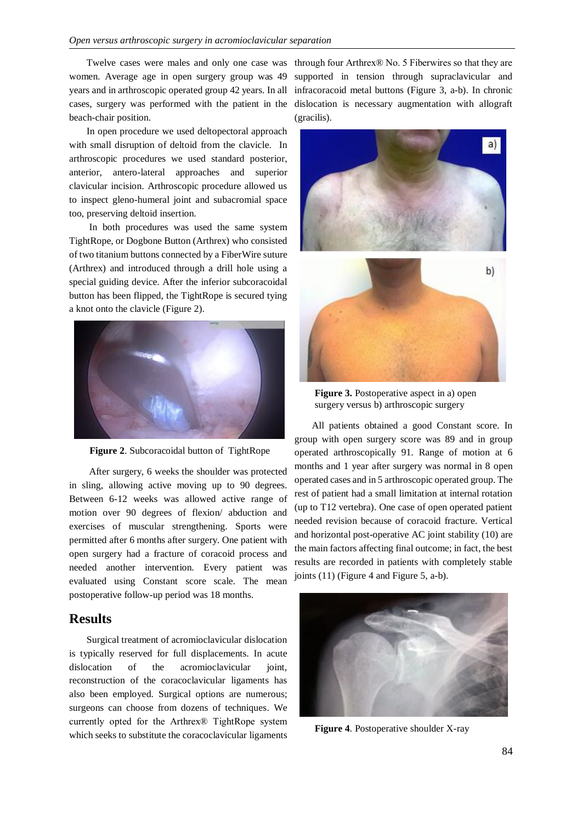women. Average age in open surgery group was 49 years and in arthroscopic operated group 42 years. In all beach-chair position.

In open procedure we used deltopectoral approach with small disruption of deltoid from the clavicle. In arthroscopic procedures we used standard posterior, anterior, antero-lateral approaches and superior clavicular incision. Arthroscopic procedure allowed us to inspect gleno-humeral joint and subacromial space too, preserving deltoid insertion.

In both procedures was used the same system TightRope, or Dogbone Button (Arthrex) who consisted of two titanium buttons connected by a FiberWire suture (Arthrex) and introduced through a drill hole using a special guiding device. After the inferior subcoracoidal button has been flipped, the TightRope is secured tying a knot onto the clavicle (Figure 2).



**Figure 2**. Subcoracoidal button of TightRope

After surgery, 6 weeks the shoulder was protected in sling, allowing active moving up to 90 degrees. Between 6-12 weeks was allowed active range of motion over 90 degrees of flexion/ abduction and exercises of muscular strengthening. Sports were permitted after 6 months after surgery. One patient with open surgery had a fracture of coracoid process and needed another intervention. Every patient was evaluated using Constant score scale. The mean postoperative follow-up period was 18 months.

#### **Results**

Surgical treatment of acromioclavicular dislocation is typically reserved for full displacements. In acute dislocation of the acromioclavicular joint, reconstruction of the coracoclavicular ligaments has also been employed. Surgical options are numerous; surgeons can choose from dozens of techniques. We currently opted for the Arthrex® TightRope system which seeks to substitute the coracoclavicular ligaments

Twelve cases were males and only one case was through four Arthrex® No. 5 Fiberwires so that they are cases, surgery was performed with the patient in the dislocation is necessary augmentation with allograft supported in tension through supraclavicular and infracoracoid metal buttons (Figure 3, a-b). In chronic (gracilis).



**Figure 3.** Postoperative aspect in a) open surgery versus b) arthroscopic surgery

All patients obtained a good Constant score. In group with open surgery score was 89 and in group operated arthroscopically 91. Range of motion at 6 months and 1 year after surgery was normal in 8 open operated cases and in 5 arthroscopic operated group. The rest of patient had a small limitation at internal rotation (up to T12 vertebra). One case of open operated patient needed revision because of coracoid fracture. Vertical and horizontal post-operative AC joint stability (10) are the main factors affecting final outcome; in fact, the best results are recorded in patients with completely stable joints (11) (Figure 4 and Figure 5, a-b).



**Figure 4**. Postoperative shoulder X-ray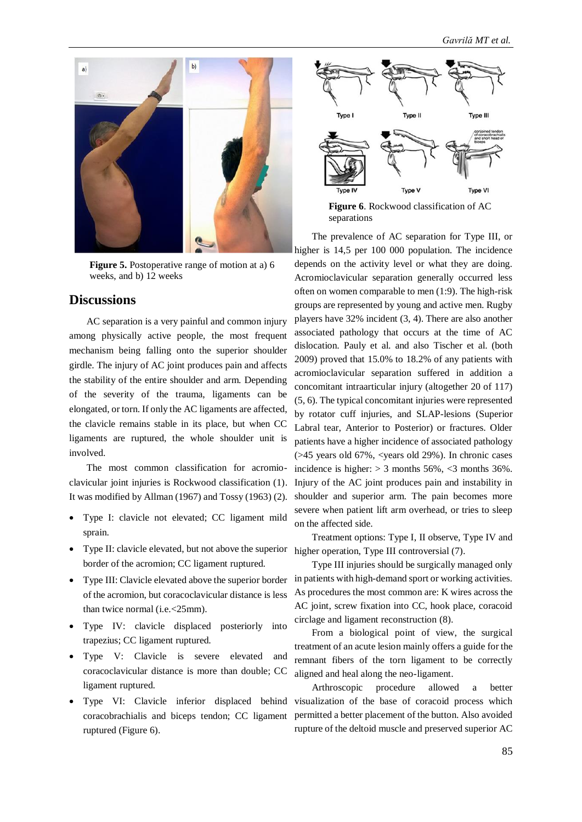

**Figure 5.** Postoperative range of motion at a) 6 weeks, and b) 12 weeks

#### **Discussions**

AC separation is a very painful and common injury among physically active people, the most frequent mechanism being falling onto the superior shoulder girdle. The injury of AC joint produces pain and affects the stability of the entire shoulder and arm. Depending of the severity of the trauma, ligaments can be elongated, or torn. If only the AC ligaments are affected, the clavicle remains stable in its place, but when CC ligaments are ruptured, the whole shoulder unit is involved.

The most common classification for acromioclavicular joint injuries is Rockwood classification (1). It was modified by Allman (1967) and Tossy (1963) (2).

- Type I: clavicle not elevated; CC ligament mild sprain.
- Type II: clavicle elevated, but not above the superior higher operation, Type III controversial (7). border of the acromion; CC ligament ruptured.
- Type III: Clavicle elevated above the superior border of the acromion, but coracoclavicular distance is less than twice normal (i.e.<25mm).
- Type IV: clavicle displaced posteriorly into trapezius; CC ligament ruptured.
- Type V: Clavicle is severe elevated and coracoclavicular distance is more than double; CC ligament ruptured.
- Type VI: Clavicle inferior displaced behind coracobrachialis and biceps tendon; CC ligament ruptured (Figure 6).



separations

The prevalence of AC separation for Type III, or higher is 14,5 per 100 000 population. The incidence depends on the activity level or what they are doing. Acromioclavicular separation generally occurred less often on women comparable to men (1:9). The high-risk groups are represented by young and active men. Rugby players have 32% incident (3, 4). There are also another associated pathology that occurs at the time of AC dislocation. Pauly et al. and also Tischer et al. (both 2009) proved that 15.0% to 18.2% of any patients with acromioclavicular separation suffered in addition a concomitant intraarticular injury (altogether 20 of 117) (5, 6). The typical concomitant injuries were represented by rotator cuff injuries, and SLAP-lesions (Superior Labral tear, Anterior to Posterior) or fractures. Older patients have a higher incidence of associated pathology (>45 years old 67%, <years old 29%). In chronic cases incidence is higher:  $> 3$  months 56%, <3 months 36%. Injury of the AC joint produces pain and instability in shoulder and superior arm. The pain becomes more severe when patient lift arm overhead, or tries to sleep on the affected side.

Treatment options: Type I, II observe, Type IV and

Type III injuries should be surgically managed only in patients with high-demand sport or working activities. As procedures the most common are: K wires across the AC joint, screw fixation into CC, hook place, coracoid circlage and ligament reconstruction (8).

From a biological point of view, the surgical treatment of an acute lesion mainly offers a guide for the remnant fibers of the torn ligament to be correctly aligned and heal along the neo-ligament.

Arthroscopic procedure allowed a better visualization of the base of coracoid process which permitted a better placement of the button. Also avoided rupture of the deltoid muscle and preserved superior AC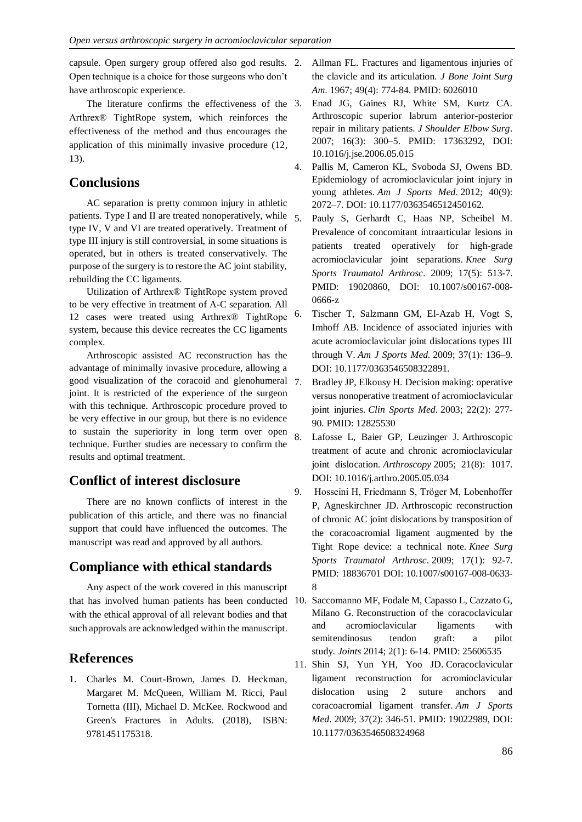capsule. Open surgery group offered also god results. Open technique is a choice for those surgeons who don't have arthroscopic experience.

The literature confirms the effectiveness of the 3. Arthrex® TightRope system, which reinforces the effectiveness of the method and thus encourages the application of this minimally invasive procedure (12, 13).

#### **Conclusions**

AC separation is pretty common injury in athletic patients. Type I and II are treated nonoperatively, while type IV, V and VI are treated operatively. Treatment of type III injury is still controversial, in some situations is operated, but in others is treated conservatively. The purpose of the surgery is to restore the AC joint stability, rebuilding the CC ligaments.

Utilization of Arthrex® TightRope system proved to be very effective in treatment of A-C separation. All 12 cases were treated using Arthrex® TightRope system, because this device recreates the CC ligaments complex.

Arthroscopic assisted AC reconstruction has the advantage of minimally invasive procedure, allowing a good visualization of the coracoid and glenohumeral joint. It is restricted of the experience of the surgeon with this technique. Arthroscopic procedure proved to be very effective in our group, but there is no evidence to sustain the superiority in long term over open technique. Further studies are necessary to confirm the results and optimal treatment.

### **Conflict of interest disclosure**

There are no known conflicts of interest in the publication of this article, and there was no financial support that could have influenced the outcomes. The manuscript was read and approved by all authors.

### **Compliance with ethical standards**

Any aspect of the work covered in this manuscript that has involved human patients has been conducted with the ethical approval of all relevant bodies and that such approvals are acknowledged within the manuscript.

### **References**

1. Charles M. Court-Brown, James D. Heckman, Margaret M. McQueen, William M. Ricci, Paul Tornetta (III), Michael D. McKee. Rockwood and Green's Fractures in Adults. (2018), [ISBN:](https://books.google.co.uk/books?vid=ISBN9781451175318)  [9781451175318.](https://books.google.co.uk/books?vid=ISBN9781451175318)

- 2. Allman FL. Fractures and ligamentous injuries of the clavicle and its articulation. *J Bone Joint Surg Am*. 1967; 49(4): 774-84. PMID: 6026010
- Enad JG, Gaines RJ, White SM, Kurtz CA. Arthroscopic superior labrum anterior-posterior repair in military patients. *[J Shoulder Elbow Surg](https://www.ncbi.nlm.nih.gov/pubmed/?term=Arthroscopic+superior+labrum+anterior-posterior+repair+in+military+patients.+Journal+of+shoulder+and+elbow+surgery%2FAmerican+Shoulder+and+Elbow+Surgeons)*. 2007; 16(3): 300–5. PMID: 17363292, DOI: 10.1016/j.jse.2006.05.015
- 4. Pallis M, Cameron KL, Svoboda SJ, Owens BD. Epidemiology of acromioclavicular joint injury in young athletes. *Am J Sports Med*. 2012; 40(9): 2072–7. DOI: 10.1177/0363546512450162.
- 5. Pauly S, Gerhardt C, Haas NP, Scheibel M. Prevalence of concomitant intraarticular lesions in patients treated operatively for high-grade acromioclavicular joint separations. *Knee Surg Sports Traumatol Arthrosc*. 2009; 17(5): 513-7. PMID: 19020860, DOI: 10.1007/s00167-008- 0666-z
- 6. Tischer T, Salzmann GM, El-Azab H, Vogt S, Imhoff AB. Incidence of associated injuries with acute acromioclavicular joint dislocations types III through V. *Am J Sports Med*. 2009; 37(1): 136–9. DOI: 10.1177/0363546508322891.
- 7. Bradley JP, Elkousy H. Decision making: operative versus nonoperative treatment of acromioclavicular joint injuries. *Clin Sports Med*. 2003; 22(2): 277- 90. PMID: 12825530
- 8. Lafosse L, Baier GP, Leuzinger J. Arthroscopic treatment of acute and chronic acromioclavicular joint dislocation. *Arthroscopy* 2005; 21(8): 1017. DOI: 10.1016/j.arthro.2005.05.034
- 9. Hosseini H, Friedmann S, Tröger M, Lobenhoffer P, Agneskirchner JD. Arthroscopic reconstruction of chronic AC joint dislocations by transposition of the coracoacromial ligament augmented by the Tight Rope device: a technical note. *Knee Surg Sports Traumatol Arthrosc*. 2009; 17(1): 92-7. PMID: 18836701 DOI: 10.1007/s00167-008-0633- 8
- 10. Saccomanno MF, Fodale M, Capasso L, Cazzato G, Milano G. Reconstruction of the coracoclavicular and acromioclavicular ligaments with semitendinosus tendon graft: a pilot study. *Joints* 2014; 2(1): 6-14. PMID: 25606535
- 11. Shin SJ, Yun YH, Yoo JD. Coracoclavicular ligament reconstruction for acromioclavicular dislocation using 2 suture anchors and coracoacromial ligament transfer. *Am J Sports Med*. 2009; 37(2): 346-51. PMID: 19022989, DOI: 10.1177/0363546508324968